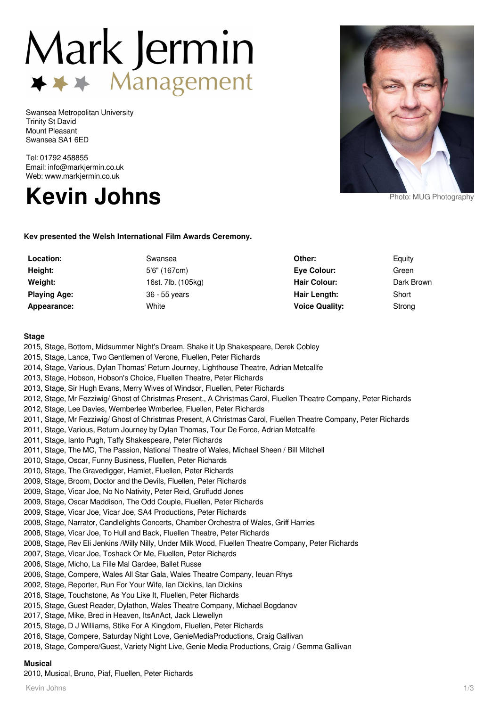# Mark Jermin → → Management

Swansea Metropolitan University Trinity St David Mount Pleasant Swansea SA1 6ED

Tel: 01792 458855 Email: info@markjermin.co.uk Web: www.markjermin.co.uk





**Kev presented the Welsh International Film Awards Ceremony.**

| Location:           | Swansea            | Other:                | Equity     |
|---------------------|--------------------|-----------------------|------------|
| Height:             | 5'6" (167cm)       | Eve Colour:           | Green      |
| Weight:             | 16st. 7lb. (105kg) | <b>Hair Colour:</b>   | Dark Brown |
| <b>Playing Age:</b> | 36 - 55 years      | Hair Length:          | Short      |
| Appearance:         | White              | <b>Voice Quality:</b> | Strong     |

### **Stage**

2015, Stage, Bottom, Midsummer Night's Dream, Shake it Up Shakespeare, Derek Cobley 2015, Stage, Lance, Two Gentlemen of Verone, Fluellen, Peter Richards 2014, Stage, Various, Dylan Thomas' Return Journey, Lighthouse Theatre, Adrian Metcallfe 2013, Stage, Hobson, Hobson's Choice, Fluellen Theatre, Peter Richards 2013, Stage, Sir Hugh Evans, Merry Wives of Windsor, Fluellen, Peter Richards 2012, Stage, Mr Fezziwig/ Ghost of Christmas Present., A Christmas Carol, Fluellen Theatre Company, Peter Richards 2012, Stage, Lee Davies, Wemberlee Wmberlee, Fluellen, Peter Richards 2011, Stage, Mr Fezziwig/ Ghost of Christmas Present, A Christmas Carol, Fluellen Theatre Company, Peter Richards 2011, Stage, Various, Return Journey by Dylan Thomas, Tour De Force, Adrian Metcallfe 2011, Stage, Ianto Pugh, Taffy Shakespeare, Peter Richards 2011, Stage, The MC, The Passion, National Theatre of Wales, Michael Sheen / Bill Mitchell 2010, Stage, Oscar, Funny Business, Fluellen, Peter Richards 2010, Stage, The Gravedigger, Hamlet, Fluellen, Peter Richards 2009, Stage, Broom, Doctor and the Devils, Fluellen, Peter Richards 2009, Stage, Vicar Joe, No No Nativity, Peter Reid, Gruffudd Jones 2009, Stage, Oscar Maddison, The Odd Couple, Fluellen, Peter Richards 2009, Stage, Vicar Joe, Vicar Joe, SA4 Productions, Peter Richards 2008, Stage, Narrator, Candlelights Concerts, Chamber Orchestra of Wales, Griff Harries 2008, Stage, Vicar Joe, To Hull and Back, Fluellen Theatre, Peter Richards 2008, Stage, Rev Eli Jenkins /Willy Nilly, Under Milk Wood, Fluellen Theatre Company, Peter Richards 2007, Stage, Vicar Joe, Toshack Or Me, Fluellen, Peter Richards 2006, Stage, Micho, La Fille Mal Gardee, Ballet Russe 2006, Stage, Compere, Wales All Star Gala, Wales Theatre Company, Ieuan Rhys 2002, Stage, Reporter, Run For Your Wife, Ian Dickins, Ian Dickins 2016, Stage, Touchstone, As You Like It, Fluellen, Peter Richards 2015, Stage, Guest Reader, Dylathon, Wales Theatre Company, Michael Bogdanov 2017, Stage, Mike, Bred in Heaven, ItsAnAct, Jack Llewellyn 2015, Stage, D J Williams, Stike For A Kingdom, Fluellen, Peter Richards 2016, Stage, Compere, Saturday Night Love, GenieMediaProductions, Craig Gallivan 2018, Stage, Compere/Guest, Variety Night Live, Genie Media Productions, Craig / Gemma Gallivan

# **Musical**

2010, Musical, Bruno, Piaf, Fluellen, Peter Richards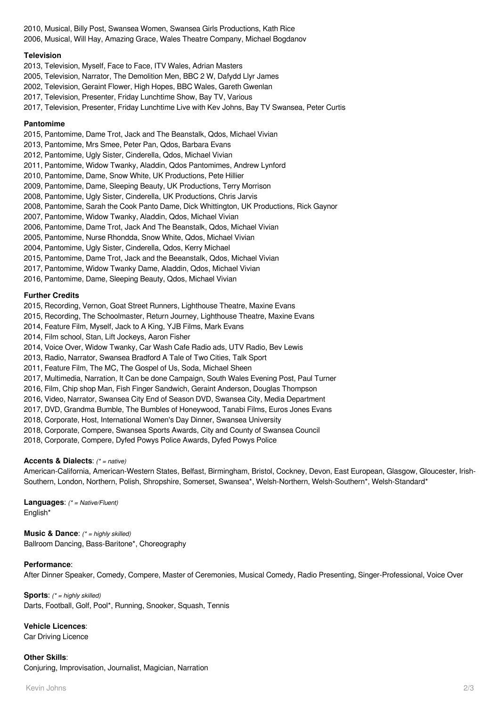2010, Musical, Billy Post, Swansea Women, Swansea Girls Productions, Kath Rice 2006, Musical, Will Hay, Amazing Grace, Wales Theatre Company, Michael Bogdanov

# **Television**

2013, Television, Myself, Face to Face, ITV Wales, Adrian Masters

2005, Television, Narrator, The Demolition Men, BBC 2 W, Dafydd Llyr James

2002, Television, Geraint Flower, High Hopes, BBC Wales, Gareth Gwenlan

2017, Television, Presenter, Friday Lunchtime Show, Bay TV, Various

2017, Television, Presenter, Friday Lunchtime Live with Kev Johns, Bay TV Swansea, Peter Curtis

## **Pantomime**

2015, Pantomime, Dame Trot, Jack and The Beanstalk, Qdos, Michael Vivian

2013, Pantomime, Mrs Smee, Peter Pan, Qdos, Barbara Evans

2012, Pantomime, Ugly Sister, Cinderella, Qdos, Michael Vivian

2011, Pantomime, Widow Twanky, Aladdin, Qdos Pantomimes, Andrew Lynford

2010, Pantomime, Dame, Snow White, UK Productions, Pete Hillier

2009, Pantomime, Dame, Sleeping Beauty, UK Productions, Terry Morrison

2008, Pantomime, Ugly Sister, Cinderella, UK Productions, Chris Jarvis

2008, Pantomime, Sarah the Cook Panto Dame, Dick Whittington, UK Productions, Rick Gaynor

2007, Pantomime, Widow Twanky, Aladdin, Qdos, Michael Vivian

2006, Pantomime, Dame Trot, Jack And The Beanstalk, Qdos, Michael Vivian

2005, Pantomime, Nurse Rhondda, Snow White, Qdos, Michael Vivian

2004, Pantomime, Ugly Sister, Cinderella, Qdos, Kerry Michael

2015, Pantomime, Dame Trot, Jack and the Beeanstalk, Qdos, Michael Vivian

2017, Pantomime, Widow Twanky Dame, Aladdin, Qdos, Michael Vivian

2016, Pantomime, Dame, Sleeping Beauty, Qdos, Michael Vivian

### **Further Credits**

2015, Recording, Vernon, Goat Street Runners, Lighthouse Theatre, Maxine Evans

2015, Recording, The Schoolmaster, Return Journey, Lighthouse Theatre, Maxine Evans

2014, Feature Film, Myself, Jack to A King, YJB Films, Mark Evans

2014, Film school, Stan, Lift Jockeys, Aaron Fisher

2014, Voice Over, Widow Twanky, Car Wash Cafe Radio ads, UTV Radio, Bev Lewis

2013, Radio, Narrator, Swansea Bradford A Tale of Two Cities, Talk Sport

2011, Feature Film, The MC, The Gospel of Us, Soda, Michael Sheen

2017, Multimedia, Narration, It Can be done Campaign, South Wales Evening Post, Paul Turner

2016, Film, Chip shop Man, Fish Finger Sandwich, Geraint Anderson, Douglas Thompson

2016, Video, Narrator, Swansea City End of Season DVD, Swansea City, Media Department

2017, DVD, Grandma Bumble, The Bumbles of Honeywood, Tanabi Films, Euros Jones Evans

2018, Corporate, Host, International Women's Day Dinner, Swansea University

2018, Corporate, Compere, Swansea Sports Awards, City and County of Swansea Council

2018, Corporate, Compere, Dyfed Powys Police Awards, Dyfed Powys Police

# **Accents & Dialects**: (\* = native)

American-California, American-Western States, Belfast, Birmingham, Bristol, Cockney, Devon, East European, Glasgow, Gloucester, Irish-Southern, London, Northern, Polish, Shropshire, Somerset, Swansea\*, Welsh-Northern, Welsh-Southern\*, Welsh-Standard\*

**Languages**: (\* = Native/Fluent) English\*

**Music & Dance:** (\* = highly skilled) Ballroom Dancing, Bass-Baritone\*, Choreography

# **Performance**:

After Dinner Speaker, Comedy, Compere, Master of Ceremonies, Musical Comedy, Radio Presenting, Singer-Professional, Voice Over

**Sports:** (\* = highly skilled) Darts, Football, Golf, Pool\*, Running, Snooker, Squash, Tennis

**Vehicle Licences**:

Car Driving Licence

**Other Skills**: Conjuring, Improvisation, Journalist, Magician, Narration